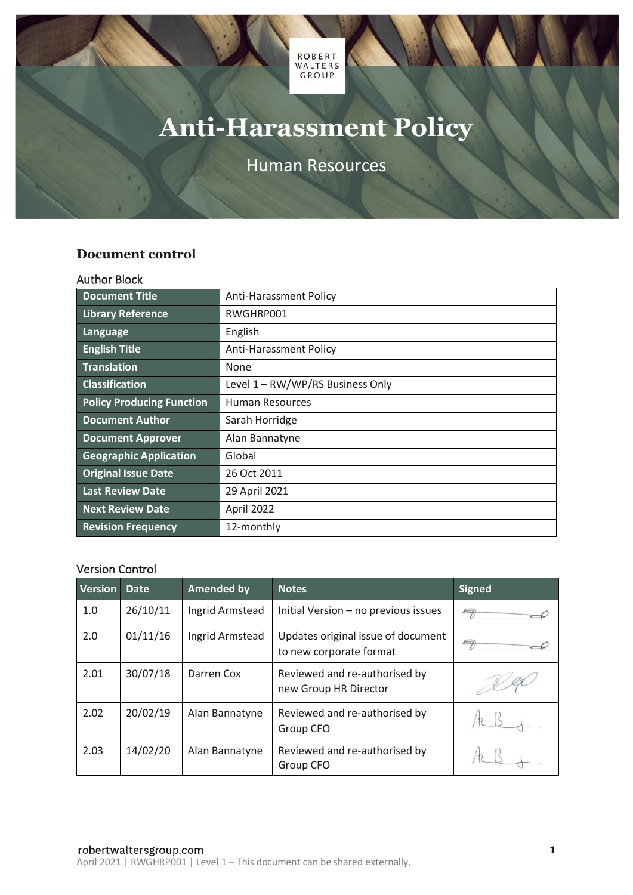

# **Anti-Harassment Policy**

Human Resources

# <span id="page-0-0"></span>**Document control**

#### <span id="page-0-1"></span>Author Block

| <b>Document Title</b>            | <b>Anti-Harassment Policy</b>    |
|----------------------------------|----------------------------------|
| <b>Library Reference</b>         | RWGHRP001                        |
| Language                         | English                          |
| <b>English Title</b>             | <b>Anti-Harassment Policy</b>    |
| <b>Translation</b>               | None                             |
| <b>Classification</b>            | Level 1 - RW/WP/RS Business Only |
| <b>Policy Producing Function</b> | Human Resources                  |
| <b>Document Author</b>           | Sarah Horridge                   |
| <b>Document Approver</b>         | Alan Bannatyne                   |
| <b>Geographic Application</b>    | Global                           |
| <b>Original Issue Date</b>       | 26 Oct 2011                      |
| <b>Last Review Date</b>          | 29 April 2021                    |
| <b>Next Review Date</b>          | April 2022                       |
| <b>Revision Frequency</b>        | 12-monthly                       |

## <span id="page-0-2"></span>Version Control

| <b>Version</b> | Date.    | <b>Amended by</b> | <b>Notes</b>                                                  | <b>Signed</b>         |
|----------------|----------|-------------------|---------------------------------------------------------------|-----------------------|
| 1.0            | 26/10/11 | Ingrid Armstead   | Initial Version - no previous issues                          | 5                     |
| 2.0            | 01/11/16 | Ingrid Armstead   | Updates original issue of document<br>to new corporate format | $\Longleftrightarrow$ |
| 2.01           | 30/07/18 | Darren Cox        | Reviewed and re-authorised by<br>new Group HR Director        |                       |
| 2.02           | 20/02/19 | Alan Bannatyne    | Reviewed and re-authorised by<br>Group CFO                    |                       |
| 2.03           | 14/02/20 | Alan Bannatyne    | Reviewed and re-authorised by<br>Group CFO                    |                       |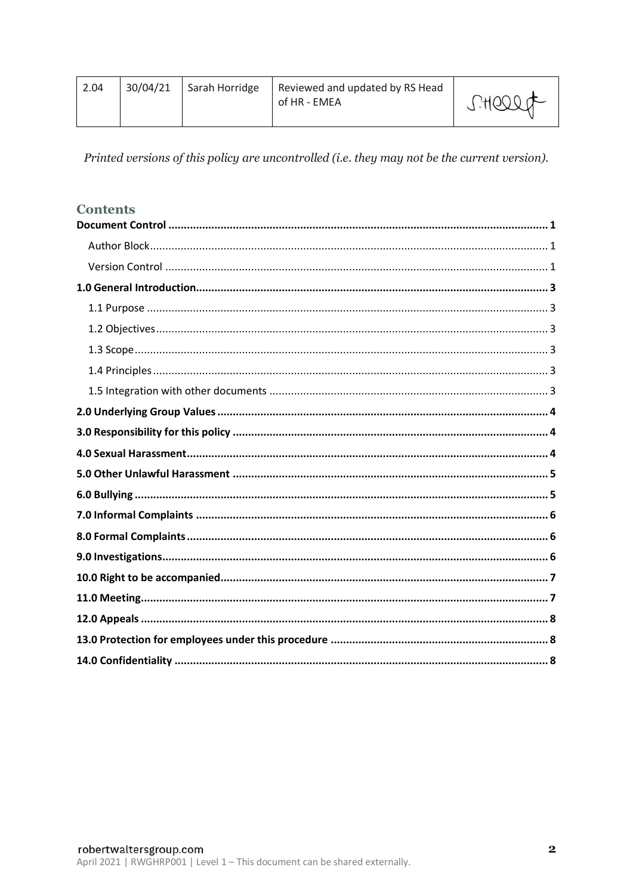| 2.04 | 30/04/21 | Sarah Horridge | Reviewed and updated by RS Head<br>of HR - EMEA | SHOOOF |
|------|----------|----------------|-------------------------------------------------|--------|
|------|----------|----------------|-------------------------------------------------|--------|

Printed versions of this policy are uncontrolled (i.e. they may not be the current version).

# **Contents**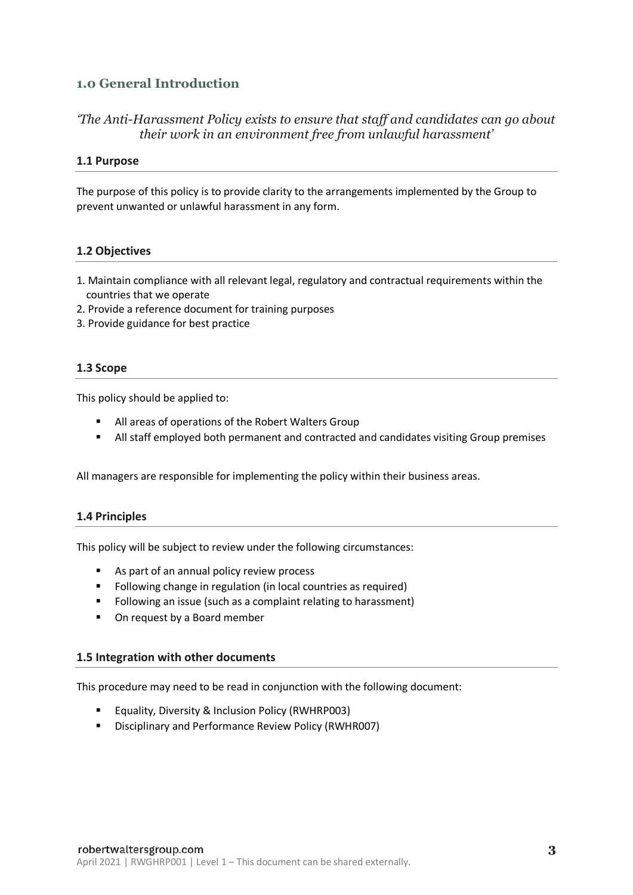# <span id="page-2-0"></span>**1.0 General Introduction**

# *'The Anti-Harassment Policy exists to ensure that staff and candidates can go about their work in an environment free from unlawful harassment'*

#### <span id="page-2-1"></span>**1.1 Purpose**

<span id="page-2-2"></span>The purpose of this policy is to provide clarity to the arrangements implemented by the Group to prevent unwanted or unlawful harassment in any form.

## **1.2 Objectives**

- <span id="page-2-3"></span>1. Maintain compliance with all relevant legal, regulatory and contractual requirements within the countries that we operate
- 2. Provide a reference document for training purposes
- 3. Provide guidance for best practice

#### **1.3 Scope**

This policy should be applied to:

- All areas of operations of the Robert Walters Group
- All staff employed both permanent and contracted and candidates visiting Group premises

All managers are responsible for implementing the policy within their business areas.

#### <span id="page-2-4"></span>**1.4 Principles**

This policy will be subject to review under the following circumstances:

- As part of an annual policy review process
- Following change in regulation (in local countries as required)
- Following an issue (such as a complaint relating to harassment)
- On request by a Board member

#### <span id="page-2-5"></span>**1.5 Integration with other documents**

This procedure may need to be read in conjunction with the following document:

- Equality, Diversity & Inclusion Policy (RWHRP003)
- Disciplinary and Performance Review Policy (RWHR007)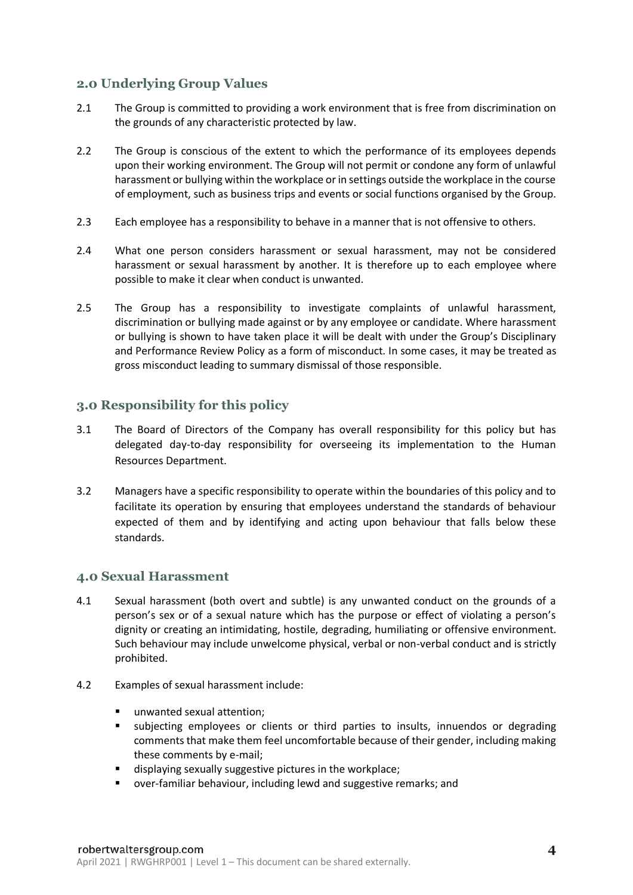# <span id="page-3-0"></span>**2.0 Underlying Group Values**

- 2.1 The Group is committed to providing a work environment that is free from discrimination on the grounds of any characteristic protected by law.
- 2.2 The Group is conscious of the extent to which the performance of its employees depends upon their working environment. The Group will not permit or condone any form of unlawful harassment or bullying within the workplace or in settings outside the workplace in the course of employment, such as business trips and events or social functions organised by the Group.
- 2.3 Each employee has a responsibility to behave in a manner that is not offensive to others.
- 2.4 What one person considers harassment or sexual harassment, may not be considered harassment or sexual harassment by another. It is therefore up to each employee where possible to make it clear when conduct is unwanted.
- 2.5 The Group has a responsibility to investigate complaints of unlawful harassment, discrimination or bullying made against or by any employee or candidate. Where harassment or bullying is shown to have taken place it will be dealt with under the Group's Disciplinary and Performance Review Policy as a form of misconduct. In some cases, it may be treated as gross misconduct leading to summary dismissal of those responsible.

# <span id="page-3-1"></span>**3.0 Responsibility for this policy**

- 3.1 The Board of Directors of the Company has overall responsibility for this policy but has delegated day-to-day responsibility for overseeing its implementation to the Human Resources Department.
- 3.2 Managers have a specific responsibility to operate within the boundaries of this policy and to facilitate its operation by ensuring that employees understand the standards of behaviour expected of them and by identifying and acting upon behaviour that falls below these standards.

# <span id="page-3-2"></span>**4.0 Sexual Harassment**

- 4.1 Sexual harassment (both overt and subtle) is any unwanted conduct on the grounds of a person's sex or of a sexual nature which has the purpose or effect of violating a person's dignity or creating an intimidating, hostile, degrading, humiliating or offensive environment. Such behaviour may include unwelcome physical, verbal or non-verbal conduct and is strictly prohibited.
- 4.2 Examples of sexual harassment include:
	- unwanted sexual attention;
	- subjecting employees or clients or third parties to insults, innuendos or degrading comments that make them feel uncomfortable because of their gender, including making these comments by e-mail;
	- displaying sexually suggestive pictures in the workplace;
	- over-familiar behaviour, including lewd and suggestive remarks; and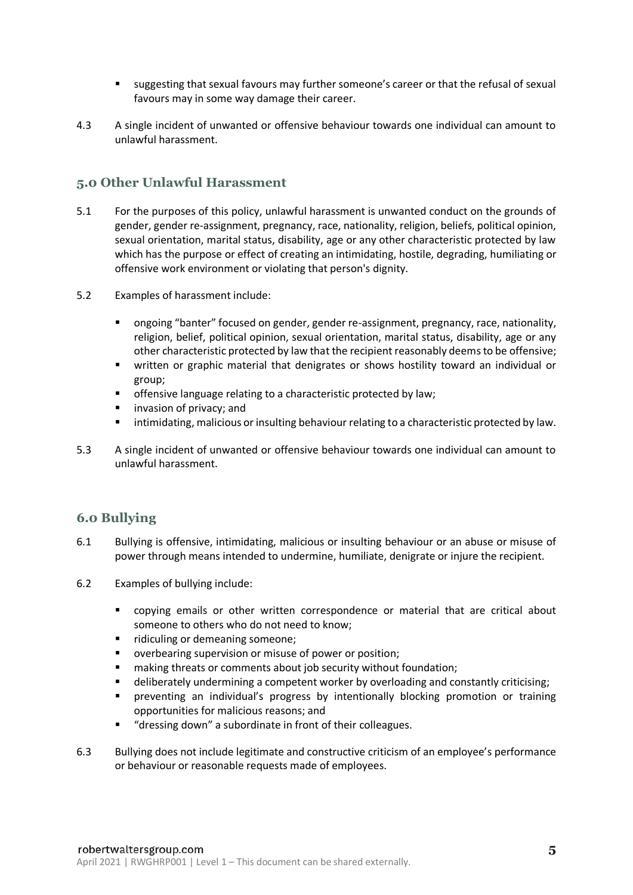- <span id="page-4-0"></span>■ suggesting that sexual favours may further someone's career or that the refusal of sexual favours may in some way damage their career.
- 4.3 A single incident of unwanted or offensive behaviour towards one individual can amount to unlawful harassment.

# **5.0 Other Unlawful Harassment**

- 5.1 For the purposes of this policy, unlawful harassment is unwanted conduct on the grounds of gender, gender re-assignment, pregnancy, race, nationality, religion, beliefs, political opinion, sexual orientation, marital status, disability, age or any other characteristic protected by law which has the purpose or effect of creating an intimidating, hostile, degrading, humiliating or offensive work environment or violating that person's dignity.
- 5.2 Examples of harassment include:
	- ongoing "banter" focused on gender, gender re-assignment, pregnancy, race, nationality, religion, belief, political opinion, sexual orientation, marital status, disability, age or any other characteristic protected by law that the recipient reasonably deems to be offensive;
	- written or graphic material that denigrates or shows hostility toward an individual or group;
	- offensive language relating to a characteristic protected by law;
	- invasion of privacy; and
	- intimidating, malicious or insulting behaviour relating to a characteristic protected by law.
- 5.3 A single incident of unwanted or offensive behaviour towards one individual can amount to unlawful harassment.

#### **6.0 Bullying**

- 6.1 Bullying is offensive, intimidating, malicious or insulting behaviour or an abuse or misuse of power through means intended to undermine, humiliate, denigrate or injure the recipient.
- 6.2 Examples of bullying include:
	- copying emails or other written correspondence or material that are critical about someone to others who do not need to know;
	- ridiculing or demeaning someone;
	- overbearing supervision or misuse of power or position;
	- making threats or comments about job security without foundation;
	- deliberately undermining a competent worker by overloading and constantly criticising;
	- preventing an individual's progress by intentionally blocking promotion or training opportunities for malicious reasons; and
	- "dressing down" a subordinate in front of their colleagues.
- 6.3 Bullying does not include legitimate and constructive criticism of an employee's performance or behaviour or reasonable requests made of employees.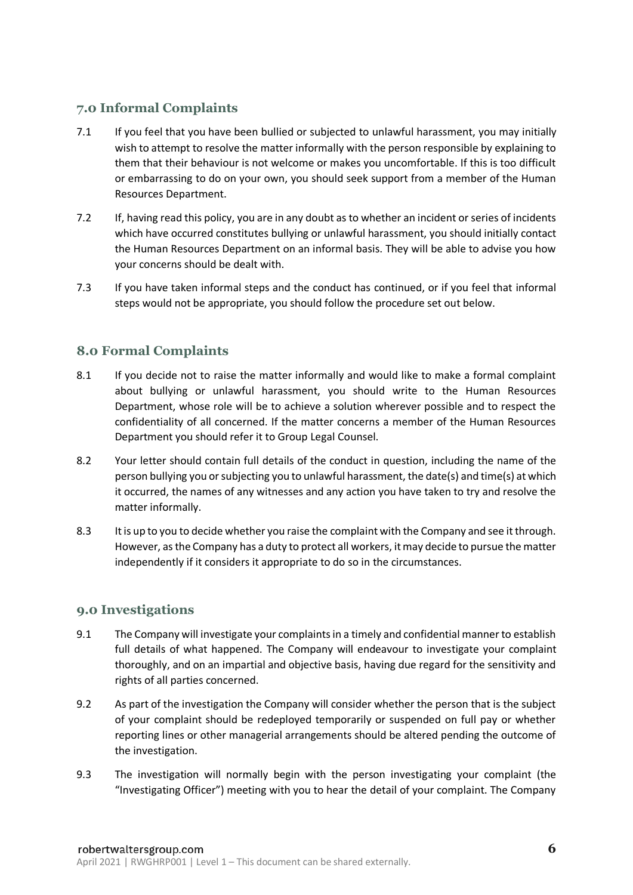# **7.0 Informal Complaints**

- 7.1 If you feel that you have been bullied or subjected to unlawful harassment, you may initially wish to attempt to resolve the matter informally with the person responsible by explaining to them that their behaviour is not welcome or makes you uncomfortable. If this is too difficult or embarrassing to do on your own, you should seek support from a member of the Human Resources Department.
- 7.2 If, having read this policy, you are in any doubt as to whether an incident or series of incidents which have occurred constitutes bullying or unlawful harassment, you should initially contact the Human Resources Department on an informal basis. They will be able to advise you how your concerns should be dealt with.
- 7.3 If you have taken informal steps and the conduct has continued, or if you feel that informal steps would not be appropriate, you should follow the procedure set out below.

# **8.0 Formal Complaints**

- 8.1 If you decide not to raise the matter informally and would like to make a formal complaint about bullying or unlawful harassment, you should write to the Human Resources Department, whose role will be to achieve a solution wherever possible and to respect the confidentiality of all concerned. If the matter concerns a member of the Human Resources Department you should refer it to Group Legal Counsel.
- 8.2 Your letter should contain full details of the conduct in question, including the name of the person bullying you or subjecting you to unlawful harassment, the date(s) and time(s) at which it occurred, the names of any witnesses and any action you have taken to try and resolve the matter informally.
- 8.3 It is up to you to decide whether you raise the complaint with the Company and see it through. However, as the Company has a duty to protect all workers, it may decide to pursue the matter independently if it considers it appropriate to do so in the circumstances.

# **9.0 Investigations**

- 9.1 The Company will investigate your complaints in a timely and confidential manner to establish full details of what happened. The Company will endeavour to investigate your complaint thoroughly, and on an impartial and objective basis, having due regard for the sensitivity and rights of all parties concerned.
- 9.2 As part of the investigation the Company will consider whether the person that is the subject of your complaint should be redeployed temporarily or suspended on full pay or whether reporting lines or other managerial arrangements should be altered pending the outcome of the investigation.
- 9.3 The investigation will normally begin with the person investigating your complaint (the "Investigating Officer") meeting with you to hear the detail of your complaint. The Company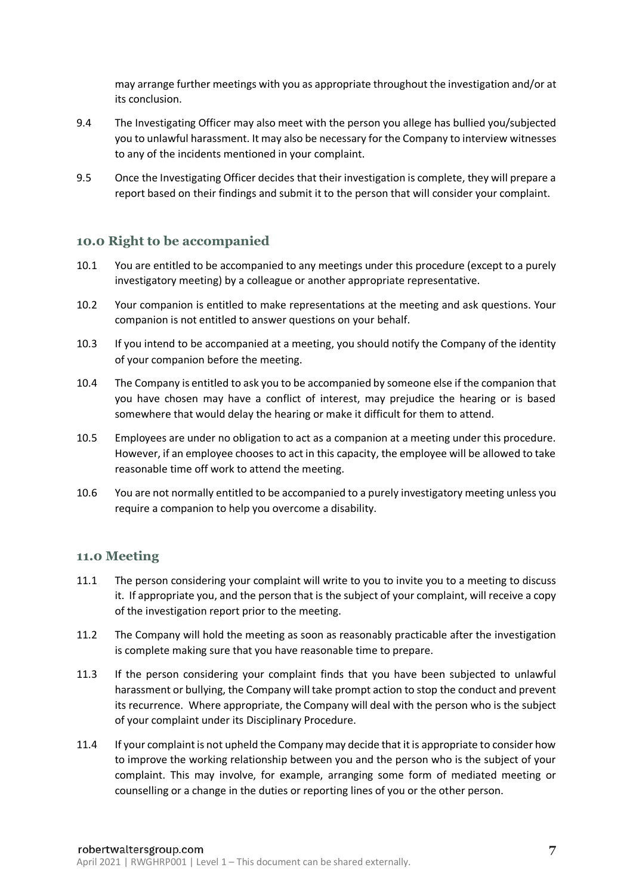may arrange further meetings with you as appropriate throughout the investigation and/or at its conclusion.

- 9.4 The Investigating Officer may also meet with the person you allege has bullied you/subjected you to unlawful harassment. It may also be necessary for the Company to interview witnesses to any of the incidents mentioned in your complaint.
- 9.5 Once the Investigating Officer decides that their investigation is complete, they will prepare a report based on their findings and submit it to the person that will consider your complaint.

## **10.0 Right to be accompanied**

- 10.1 You are entitled to be accompanied to any meetings under this procedure (except to a purely investigatory meeting) by a colleague or another appropriate representative.
- 10.2 Your companion is entitled to make representations at the meeting and ask questions. Your companion is not entitled to answer questions on your behalf.
- 10.3 If you intend to be accompanied at a meeting, you should notify the Company of the identity of your companion before the meeting.
- 10.4 The Company is entitled to ask you to be accompanied by someone else if the companion that you have chosen may have a conflict of interest, may prejudice the hearing or is based somewhere that would delay the hearing or make it difficult for them to attend.
- 10.5 Employees are under no obligation to act as a companion at a meeting under this procedure. However, if an employee chooses to act in this capacity, the employee will be allowed to take reasonable time off work to attend the meeting.
- 10.6 You are not normally entitled to be accompanied to a purely investigatory meeting unless you require a companion to help you overcome a disability.

#### **11.0 Meeting**

- 11.1 The person considering your complaint will write to you to invite you to a meeting to discuss it. If appropriate you, and the person that is the subject of your complaint, will receive a copy of the investigation report prior to the meeting.
- 11.2 The Company will hold the meeting as soon as reasonably practicable after the investigation is complete making sure that you have reasonable time to prepare.
- 11.3 If the person considering your complaint finds that you have been subjected to unlawful harassment or bullying, the Company will take prompt action to stop the conduct and prevent its recurrence. Where appropriate, the Company will deal with the person who is the subject of your complaint under its Disciplinary Procedure.
- 11.4 If your complaint is not upheld the Company may decide that it is appropriate to consider how to improve the working relationship between you and the person who is the subject of your complaint. This may involve, for example, arranging some form of mediated meeting or counselling or a change in the duties or reporting lines of you or the other person.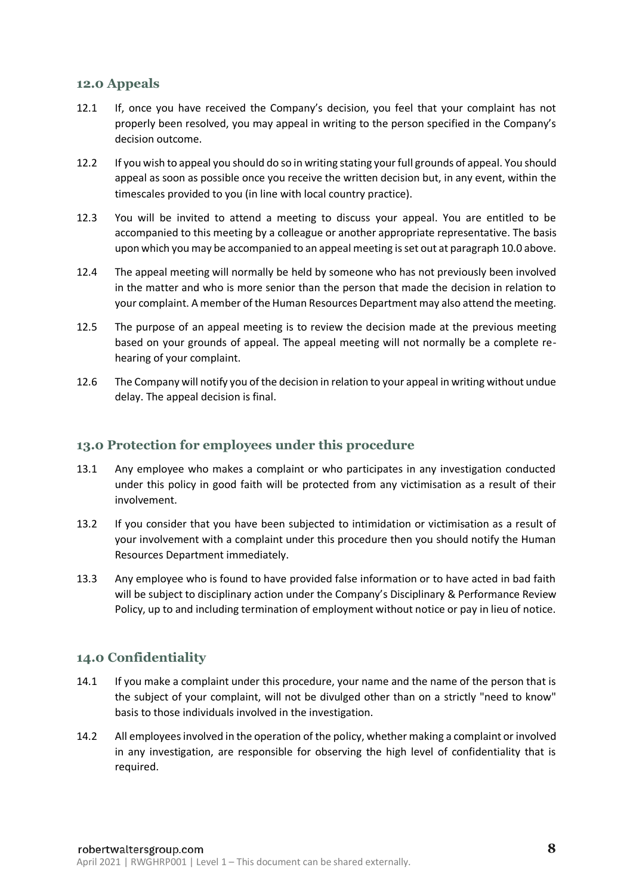## **12.0 Appeals**

- 12.1 If, once you have received the Company's decision, you feel that your complaint has not properly been resolved, you may appeal in writing to the person specified in the Company's decision outcome.
- 12.2 If you wish to appeal you should do so in writing stating your full grounds of appeal. You should appeal as soon as possible once you receive the written decision but, in any event, within the timescales provided to you (in line with local country practice).
- 12.3 You will be invited to attend a meeting to discuss your appeal. You are entitled to be accompanied to this meeting by a colleague or another appropriate representative. The basis upon which you may be accompanied to an appeal meeting is set out at paragraph 10.0 above.
- 12.4 The appeal meeting will normally be held by someone who has not previously been involved in the matter and who is more senior than the person that made the decision in relation to your complaint. A member of the Human Resources Department may also attend the meeting.
- 12.5 The purpose of an appeal meeting is to review the decision made at the previous meeting based on your grounds of appeal. The appeal meeting will not normally be a complete rehearing of your complaint.
- 12.6 The Company will notify you of the decision in relation to your appeal in writing without undue delay. The appeal decision is final.

## **13.0 Protection for employees under this procedure**

- 13.1 Any employee who makes a complaint or who participates in any investigation conducted under this policy in good faith will be protected from any victimisation as a result of their involvement.
- 13.2 If you consider that you have been subjected to intimidation or victimisation as a result of your involvement with a complaint under this procedure then you should notify the Human Resources Department immediately.
- 13.3 Any employee who is found to have provided false information or to have acted in bad faith will be subject to disciplinary action under the Company's Disciplinary & Performance Review Policy, up to and including termination of employment without notice or pay in lieu of notice.

# **14.0 Confidentiality**

- 14.1 If you make a complaint under this procedure, your name and the name of the person that is the subject of your complaint, will not be divulged other than on a strictly "need to know" basis to those individuals involved in the investigation.
- 14.2 All employees involved in the operation of the policy, whether making a complaint or involved in any investigation, are responsible for observing the high level of confidentiality that is required.